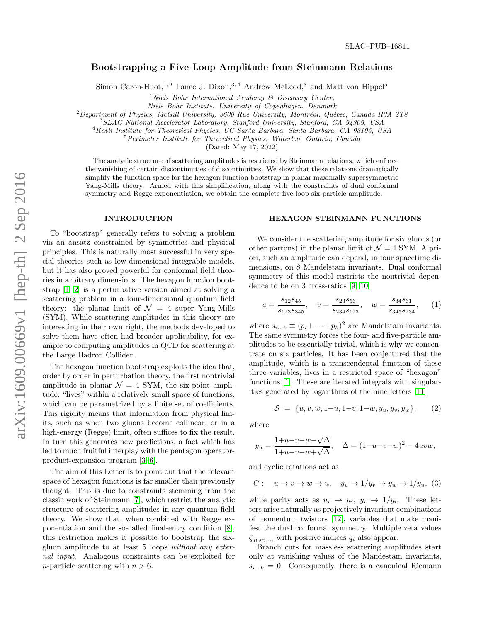# Bootstrapping a Five-Loop Amplitude from Steinmann Relations

Simon Caron-Huot,<sup>1,2</sup> Lance J. Dixon,<sup>3,4</sup> Andrew McLeod,<sup>3</sup> and Matt von Hippel<sup>5</sup>

 $1$ Niels Bohr International Academy  $\mathcal{C}$  Discovery Center,

Niels Bohr Institute, University of Copenhagen, Denmark

 $2$ Department of Physics, McGill University, 3600 Rue University, Montréal, Québec, Canada H3A 2T8

<sup>3</sup>SLAC National Accelerator Laboratory, Stanford University, Stanford, CA 94309, USA

<sup>4</sup>Kavli Institute for Theoretical Physics, UC Santa Barbara, Santa Barbara, CA 93106, USA

<sup>5</sup> Perimeter Institute for Theoretical Physics, Waterloo, Ontario, Canada

(Dated: May 17, 2022)

The analytic structure of scattering amplitudes is restricted by Steinmann relations, which enforce the vanishing of certain discontinuities of discontinuities. We show that these relations dramatically simplify the function space for the hexagon function bootstrap in planar maximally supersymmetric Yang-Mills theory. Armed with this simplification, along with the constraints of dual conformal symmetry and Regge exponentiation, we obtain the complete five-loop six-particle amplitude.

## INTRODUCTION

To "bootstrap" generally refers to solving a problem via an ansatz constrained by symmetries and physical principles. This is naturally most successful in very special theories such as low-dimensional integrable models, but it has also proved powerful for conformal field theories in arbitrary dimensions. The hexagon function bootstrap [\[1,](#page-4-0) [2\]](#page-4-1) is a perturbative version aimed at solving a scattering problem in a four-dimensional quantum field theory: the planar limit of  $\mathcal{N} = 4$  super Yang-Mills (SYM). While scattering amplitudes in this theory are interesting in their own right, the methods developed to solve them have often had broader applicability, for example to computing amplitudes in QCD for scattering at the Large Hadron Collider.

The hexagon function bootstrap exploits the idea that, order by order in perturbation theory, the first nontrivial amplitude in planar  $\mathcal{N} = 4$  SYM, the six-point amplitude, "lives" within a relatively small space of functions, which can be parametrized by a finite set of coefficients. This rigidity means that information from physical limits, such as when two gluons become collinear, or in a high-energy (Regge) limit, often suffices to fix the result. In turn this generates new predictions, a fact which has led to much fruitful interplay with the pentagon operatorproduct-expansion program [\[3](#page-4-2)[–6\]](#page-4-3).

The aim of this Letter is to point out that the relevant space of hexagon functions is far smaller than previously thought. This is due to constraints stemming from the classic work of Steinmann [\[7\]](#page-4-4), which restrict the analytic structure of scattering amplitudes in any quantum field theory. We show that, when combined with Regge exponentiation and the so-called final-entry condition [\[8\]](#page-4-5), this restriction makes it possible to bootstrap the sixgluon amplitude to at least 5 loops without any external input. Analogous constraints can be exploited for *n*-particle scattering with  $n > 6$ .

# HEXAGON STEINMANN FUNCTIONS

We consider the scattering amplitude for six gluons (or other partons) in the planar limit of  $\mathcal{N}=4$  SYM. A priori, such an amplitude can depend, in four spacetime dimensions, on 8 Mandelstam invariants. Dual conformal symmetry of this model restricts the nontrivial dependence to be on 3 cross-ratios [\[9,](#page-4-6) [10\]](#page-4-7)

<span id="page-0-1"></span>
$$
u = \frac{s_{12}s_{45}}{s_{123}s_{345}}, \quad v = \frac{s_{23}s_{56}}{s_{234}s_{123}}, \quad w = \frac{s_{34}s_{61}}{s_{345}s_{234}}, \quad (1)
$$

where  $s_{i...k} \equiv (p_i + \cdots + p_k)^2$  are Mandelstam invariants. The same symmetry forces the four- and five-particle amplitudes to be essentially trivial, which is why we concentrate on six particles. It has been conjectured that the amplitude, which is a transcendental function of these three variables, lives in a restricted space of "hexagon" functions [\[1\]](#page-4-0). These are iterated integrals with singularities generated by logarithms of the nine letters [\[11\]](#page-4-8)

<span id="page-0-0"></span>
$$
S = \{u, v, w, 1-u, 1-v, 1-w, y_u, y_v, y_w\},\qquad(2)
$$

where

$$
y_u = \frac{1+u-v-w-\sqrt{\Delta}}{1+u-v-w+\sqrt{\Delta}}, \quad \Delta = (1-u-v-w)^2 - 4uvw,
$$

and cyclic rotations act as

$$
C: u \to v \to w \to u, \quad y_u \to 1/y_v \to y_w \to 1/y_u, (3)
$$

while parity acts as  $u_i \rightarrow u_i, y_i \rightarrow 1/y_i$ . These letters arise naturally as projectively invariant combinations of momentum twistors [\[12\]](#page-4-9), variables that make manifest the dual conformal symmetry. Multiple zeta values  $\zeta_{q_1,q_2,...}$  with positive indices  $q_i$  also appear.

Branch cuts for massless scattering amplitudes start only at vanishing values of the Mandestam invariants,  $s_{i...k} = 0$ . Consequently, there is a canonical Riemann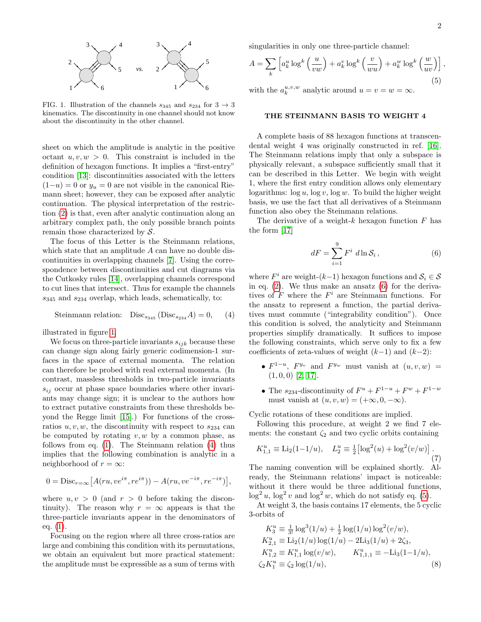

<span id="page-1-0"></span>FIG. 1. Illustration of the channels  $s_{345}$  and  $s_{234}$  for  $3 \rightarrow 3$ kinematics. The discontinuity in one channel should not know about the discontinuity in the other channel.

sheet on which the amplitude is analytic in the positive octant  $u, v, w > 0$ . This constraint is included in the definition of hexagon functions. It implies a "first-entry" condition [\[13\]](#page-4-10): discontinuities associated with the letters  $(1-u) = 0$  or  $y_u = 0$  are not visible in the canonical Riemann sheet; however, they can be exposed after analytic continuation. The physical interpretation of the restriction [\(2\)](#page-0-0) is that, even after analytic continuation along an arbitrary complex path, the only possible branch points remain those characterized by S.

The focus of this Letter is the Steinmann relations, which state that an amplitude A can have no double discontinuities in overlapping channels [\[7\]](#page-4-4). Using the correspondence between discontinuities and cut diagrams via the Cutkosky rules [\[14\]](#page-4-11), overlapping channels correspond to cut lines that intersect. Thus for example the channels  $s_{345}$  and  $s_{234}$  overlap, which leads, schematically, to:

<span id="page-1-1"></span>Steinmann relation:  $Disc_{s_{345}}(Disc_{s_{234}}A) = 0,$  (4)

illustrated in figure [1.](#page-1-0)

We focus on three-particle invariants  $s_{ijk}$  because these can change sign along fairly generic codimension-1 surfaces in the space of external momenta. The relation can therefore be probed with real external momenta. (In contrast, massless thresholds in two-particle invariants  $s_{ij}$  occur at phase space boundaries where other invariants may change sign; it is unclear to the authors how to extract putative constraints from these thresholds beyond the Regge limit [\[15\]](#page-4-12).) For functions of the crossratios  $u, v, w$ , the discontinuity with respect to  $s_{234}$  can be computed by rotating  $v, w$  by a common phase, as follows from eq. [\(1\)](#page-0-1). The Steinmann relation [\(4\)](#page-1-1) thus implies that the following combination is analytic in a neighborhood of  $r = \infty$ :

<span id="page-1-3"></span>
$$
0 = \text{Disc}_{r=\infty} \left[ A(ru, v e^{i\pi}, r e^{i\pi}) \right) - A(ru, v e^{-i\pi}, r e^{-i\pi}) \right],
$$

where  $u, v > 0$  (and  $r > 0$  before taking the discontinuity). The reason why  $r = \infty$  appears is that the three-particle invariants appear in the denominators of eq. [\(1\)](#page-0-1).

Focusing on the region where all three cross-ratios are large and combining this condition with its permutations, we obtain an equivalent but more practical statement: the amplitude must be expressible as a sum of terms with

singularities in only one three-particle channel:

$$
A = \sum_{k} \left[ a_k^u \log^k \left( \frac{u}{vw} \right) + a_k^v \log^k \left( \frac{v}{wu} \right) + a_k^w \log^k \left( \frac{w}{uv} \right) \right],
$$
  
with the  $a^{u,v,w}$  substitute around  $u = u = w = \infty$  (5)

with the  $a_k^u$ analytic around  $u = v = w = \infty$ .

### THE STEINMANN BASIS TO WEIGHT 4

A complete basis of 88 hexagon functions at transcendental weight 4 was originally constructed in ref. [\[16\]](#page-4-13). The Steinmann relations imply that only a subspace is physically relevant, a subspace sufficiently small that it can be described in this Letter. We begin with weight 1, where the first entry condition allows only elementary logarithms:  $\log u$ ,  $\log v$ ,  $\log w$ . To build the higher weight basis, we use the fact that all derivatives of a Steinmann function also obey the Steinmann relations.

The derivative of a weight- $k$  hexagon function  $F$  has the form [\[17\]](#page-4-14)

<span id="page-1-2"></span>
$$
dF = \sum_{i=1}^{9} F^i \ d\ln \mathcal{S}_i \,, \tag{6}
$$

where  $F^i$  are weight- $(k-1)$  hexagon functions and  $S_i \in \mathcal{S}$ in eq.  $(2)$ . We thus make an ansatz  $(6)$  for the derivatives of  $F$  where the  $F^i$  are Steinmann functions. For the ansatz to represent a function, the partial derivatives must commute ("integrability condition"). Once this condition is solved, the analyticity and Steinmann properties simplify dramatically. It suffices to impose the following constraints, which serve only to fix a few coefficients of zeta-values of weight  $(k-1)$  and  $(k-2)$ :

- $F^{1-u}$ ,  $F^{y_v}$  and  $F^{y_w}$  must vanish at  $(u, v, w)$  =  $(1, 0, 0)$  [\[2,](#page-4-1) [17\]](#page-4-14).
- The  $s_{234}$ -discontinuity of  $F^u + F^{1-u} + F^w + F^{1-w}$ must vanish at  $(u, v, w) = (+\infty, 0, -\infty).$

Cyclic rotations of these conditions are implied.

Following this procedure, at weight 2 we find 7 elements: the constant  $\zeta_2$  and two cyclic orbits containing

<span id="page-1-4"></span>
$$
K_{1,1}^{u} \equiv \text{Li}_2(1-1/u), \quad L_2^{u} \equiv \frac{1}{2} \left[ \log^2(u) + \log^2(v/w) \right]. \tag{7}
$$

The naming convention will be explained shortly. Already, the Steinmann relations' impact is noticeable: without it there would be three additional functions,  $\log^2 u$ ,  $\log^2 v$  and  $\log^2 w$ , which do not satisfy eq. [\(5\)](#page-1-3).

At weight 3, the basis contains 17 elements, the 5 cyclic 3-orbits of

<span id="page-1-5"></span>
$$
K_3^u \equiv \frac{1}{3!} \log^3(1/u) + \frac{1}{2} \log(1/u) \log^2(v/w),
$$
  
\n
$$
K_{2,1}^u \equiv \text{Li}_2(1/u) \log(1/u) - 2\text{Li}_3(1/u) + 2\zeta_3,
$$
  
\n
$$
K_{1,2}^u \equiv K_{1,1}^u \log(v/w), \qquad K_{1,1,1}^u \equiv -\text{Li}_3(1-1/u),
$$
  
\n
$$
\zeta_2 K_1^u \equiv \zeta_2 \log(1/u), \qquad (8)
$$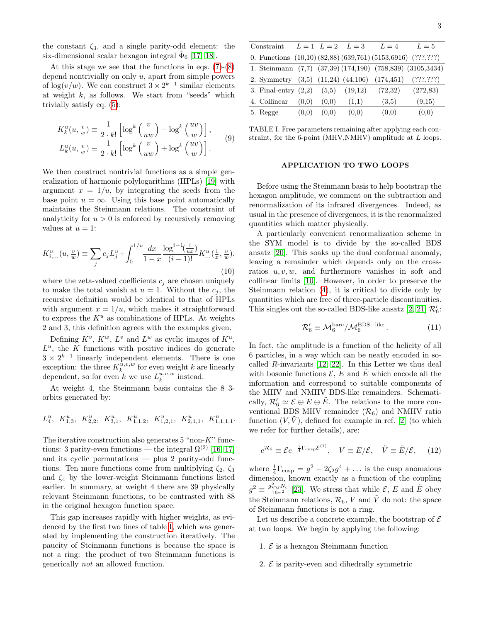the constant  $\zeta_3$ , and a single parity-odd element: the six-dimensional scalar hexagon integral  $\tilde{\Phi}_6$  [\[17,](#page-4-14) [18\]](#page-4-15).

At this stage we see that the functions in eqs.  $(7)-(8)$  $(7)-(8)$ depend nontrivially on only  $u$ , apart from simple powers of  $\log(v/w)$ . We can construct  $3 \times 2^{k-1}$  similar elements at weight  $k$ , as follows. We start from "seeds" which trivially satisfy eq. [\(5\)](#page-1-3):

$$
K_k^u(u, \frac{v}{w}) \equiv \frac{1}{2 \cdot k!} \left[ \log^k \left( \frac{v}{uw} \right) - \log^k \left( \frac{uv}{w} \right) \right],
$$
  

$$
L_k^u(u, \frac{v}{w}) \equiv \frac{1}{2 \cdot k!} \left[ \log^k \left( \frac{v}{uw} \right) + \log^k \left( \frac{uv}{w} \right) \right].
$$
 (9)

We then construct nontrivial functions as a simple generalization of harmonic polylogarithms (HPLs) [\[19\]](#page-4-16) with argument  $x = 1/u$ , by integrating the seeds from the base point  $u = \infty$ . Using this base point automatically maintains the Steinmann relations. The constraint of analyticity for  $u > 0$  is enforced by recursively removing values at  $u = 1$ :

$$
K_{i,\dots}^u(u, \frac{v}{w}) \equiv \sum_j c_j L_j^u + \int_0^{1/u} \frac{dx}{1-x} \frac{\log^{i-1}(\frac{1}{ux})}{(i-1)!} K_{\dots}^u(\frac{1}{x}, \frac{v}{w}),\tag{10}
$$

where the zeta-valued coefficients  $c_j$  are chosen uniquely to make the total vanish at  $u = 1$ . Without the  $c_i$ , the recursive definition would be identical to that of HPLs with argument  $x = 1/u$ , which makes it straightforward to express the  $K^u$  as combinations of HPLs. At weights 2 and 3, this definition agrees with the examples given.

Defining  $K^v$ ,  $K^w$ ,  $L^v$  and  $L^w$  as cyclic images of  $K^u$ ,  $L^u$ , the K functions with positive indices do generate  $3 \times 2^{k-1}$  linearly independent elements. There is one exception: the three  $K_k^{\bar{u},v,w}$  for even weight k are linearly dependent, so for even k we use  $L_k^{u,v,w}$  instead.

At weight 4, the Steinmann basis contains the 8 3 orbits generated by:

$$
L_4^u, \ K_{1,3}^u, \ K_{2,2}^u, \ K_{3,1}^u, \ K_{1,1,2}^u, \ K_{1,2,1}^u, \ K_{2,1,1}^u, \ K_{1,1,1}^u.
$$

The iterative construction also generates  $5$  "non- $K$ " functions: 3 parity-even functions — the integral  $\Omega^{(2)}$  [\[16,](#page-4-13) [17\]](#page-4-14) and its cyclic permutations — plus 2 parity-odd functions. Ten more functions come from multiplying  $\zeta_2$ ,  $\zeta_3$ and  $\zeta_4$  by the lower-weight Steinmann functions listed earlier. In summary, at weight 4 there are 39 physically relevant Steinmann functions, to be contrasted with 88 in the original hexagon function space.

This gap increases rapidly with higher weights, as evidenced by the first two lines of table [I,](#page-2-0) which was generated by implementing the construction iteratively. The paucity of Steinmann functions is because the space is not a ring: the product of two Steinmann functions is generically not an allowed function.

<span id="page-2-0"></span>TABLE I. Free parameters remaining after applying each constraint, for the 6-point (MHV,NMHV) amplitude at L loops.

5. Regge  $(0,0)$   $(0,0)$   $(0,0)$   $(0,0)$   $(0,0)$   $(0,0)$ 

#### APPLICATION TO TWO LOOPS

Before using the Steinmann basis to help bootstrap the hexagon amplitude, we comment on the subtraction and renormalization of its infrared divergences. Indeed, as usual in the presence of divergences, it is the renormalized quantities which matter physically.

A particularly convenient renormalization scheme in the SYM model is to divide by the so-called BDS ansatz [\[20\]](#page-4-17). This soaks up the dual conformal anomaly, leaving a remainder which depends only on the crossratios  $u, v, w$ , and furthermore vanishes in soft and collinear limits [\[10\]](#page-4-7). However, in order to preserve the Steinmann relation [\(4\)](#page-1-1), it is critical to divide only by quantities which are free of three-particle discontinuities. This singles out the so-called BDS-like ansatz [\[2,](#page-4-1) [21\]](#page-4-18)  $\mathcal{R}'_6$ :

$$
\mathcal{R}'_6 \equiv \mathcal{M}_6^{\text{bare}} / \mathcal{M}_6^{\text{BDS-like}}.
$$
 (11)

In fact, the amplitude is a function of the helicity of all 6 particles, in a way which can be neatly encoded in socalled R-invariants [\[12,](#page-4-9) [22\]](#page-4-19). In this Letter we thus deal with bosonic functions  $\mathcal{E}, E$  and E which encode all the information and correspond to suitable components of the MHV and NMHV BDS-like remainders. Schematically,  $\mathcal{R}'_6 \simeq \mathcal{E} \oplus \mathcal{E} \oplus \mathcal{E}$ . The relations to the more conventional BDS MHV remainder  $(\mathcal{R}_6)$  and NMHV ratio function  $(V, V)$ , defined for example in ref. [\[2\]](#page-4-1) (to which we refer for further details), are:

<span id="page-2-1"></span>
$$
e^{\mathcal{R}_6} \equiv \mathcal{E}e^{-\frac{1}{4}\Gamma_{\text{cusp}}\mathcal{E}^{(1)}}, \quad V \equiv E/\mathcal{E}, \quad \tilde{V} \equiv \tilde{E}/\mathcal{E}, \quad (12)
$$

where  $\frac{1}{4}\Gamma_{\text{cusp}} = g^2 - 2\zeta_2 g^4 + \dots$  is the cusp anomalous where  $\frac{4 \text{ cusp}}{4 \text{ cusp}}$  =  $\frac{9}{2529}$  ... is the cusp anomatous dimension, known exactly as a function of the coupling  $g^2 \equiv \frac{g_{\text{YM}}^2 N_c}{16\pi^2}$  [\[23\]](#page-4-20). We stress that while  $\mathcal{E}, E$  and  $\tilde{E}$  obey the Steinmann relations,  $\mathcal{R}_6$ , V and  $\tilde{V}$  do not: the space of Steinmann functions is not a ring.

Let us describe a concrete example, the bootstrap of  $\mathcal E$ at two loops. We begin by applying the following:

- 1.  $\mathcal E$  is a hexagon Steinmann function
- 2.  $\mathcal{E}$  is parity-even and dihedrally symmetric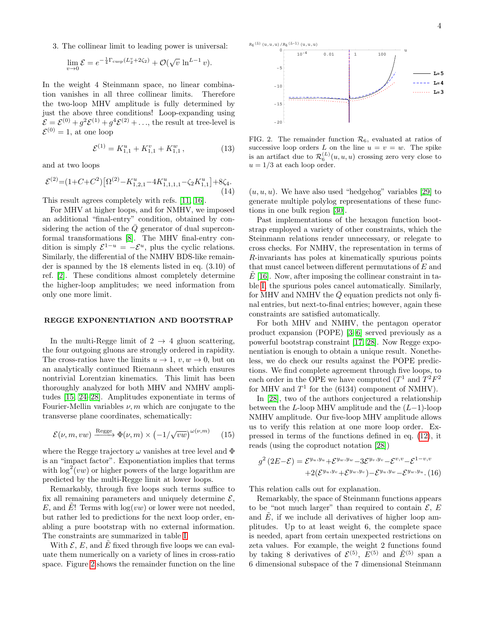3. The collinear limit to leading power is universal:

$$
\lim_{v \to 0} \mathcal{E} = e^{-\frac{1}{4}\Gamma_{\text{cusp}}(L_2^v + 2\zeta_2)} + \mathcal{O}(\sqrt{v} \ln^{L-1} v).
$$

In the weight 4 Steinmann space, no linear combination vanishes in all three collinear limits. Therefore the two-loop MHV amplitude is fully determined by just the above three conditions! Loop-expanding using  $\mathcal{E} = \mathcal{E}^{(0)} + g^2 \mathcal{E}^{(1)} + g^4 \mathcal{E}^{(2)} + \ldots$ , the result at tree-level is  $\mathcal{E}^{(0)}=1$ , at one loop

$$
\mathcal{E}^{(1)} = K_{1,1}^u + K_{1,1}^v + K_{1,1}^w, \qquad (13)
$$

and at two loops

$$
\mathcal{E}^{(2)} = (1 + C + C^2) \left[ \Omega^{(2)} - K_{1,2,1}^u - 4K_{1,1,1,1}^u - \zeta_2 K_{1,1}^u \right] + 8\zeta_4. \tag{14}
$$

This result agrees completely with refs. [\[11,](#page-4-8) [16\]](#page-4-13).

For MHV at higher loops, and for NMHV, we imposed an additional "final-entry" condition, obtained by considering the action of the  $\overline{Q}$  generator of dual superconformal transformations [\[8\]](#page-4-5). The MHV final-entry condition is simply  $\mathcal{E}^{1-u} = -\mathcal{E}^u$ , plus the cyclic relations. Similarly, the differential of the NMHV BDS-like remainder is spanned by the 18 elements listed in eq. (3.10) of ref. [\[2\]](#page-4-1). These conditions almost completely determine the higher-loop amplitudes; we need information from only one more limit.

#### REGGE EXPONENTIATION AND BOOTSTRAP

In the multi-Regge limit of  $2 \rightarrow 4$  gluon scattering, the four outgoing gluons are strongly ordered in rapidity. The cross-ratios have the limits  $u \to 1$ ,  $v, w \to 0$ , but on an analytically continued Riemann sheet which ensures nontrivial Lorentzian kinematics. This limit has been thoroughly analyzed for both MHV and NMHV amplitudes [\[15,](#page-4-12) [24–](#page-4-21)[28\]](#page-4-22). Amplitudes exponentiate in terms of Fourier-Mellin variables  $\nu$ , m which are conjugate to the transverse plane coordinates, schematically:

$$
\mathcal{E}(\nu, m, vw) \xrightarrow{\text{Regge}} \Phi(\nu, m) \times (-1/\sqrt{vw})^{\omega(\nu, m)} \tag{15}
$$

where the Regge trajectory  $\omega$  vanishes at tree level and  $\Phi$ is an "impact factor". Exponentiation implies that terms with  $\log^2(vw)$  or higher powers of the large logarithm are predicted by the multi-Regge limit at lower loops.

Remarkably, through five loops such terms suffice to fix all remaining parameters and uniquely determine  $\mathcal{E}$ , E, and E! Terms with  $log(vw)$  or lower were not needed, but rather led to predictions for the next loop order, enabling a pure bootstrap with no external information. The constraints are summarized in table [I.](#page-2-0)

With  $\mathcal{E}, E$ , and  $\tilde{E}$  fixed through five loops we can evaluate them numerically on a variety of lines in cross-ratio space. Figure [2](#page-3-0) shows the remainder function on the line



<span id="page-3-0"></span>FIG. 2. The remainder function  $\mathcal{R}_6$ , evaluated at ratios of successive loop orders L on the line  $u = v = w$ . The spike is an artifact due to  $\mathcal{R}_6^{(L)}(u, u, u)$  crossing zero very close to  $u = 1/3$  at each loop order.

 $(u, u, u)$ . We have also used "hedgehog" variables [\[29\]](#page-4-23) to generate multiple polylog representations of these functions in one bulk region [\[30\]](#page-4-24).

Past implementations of the hexagon function bootstrap employed a variety of other constraints, which the Steinmann relations render unnecessary, or relegate to cross checks. For NMHV, the representation in terms of R-invariants has poles at kinematically spurious points that must cancel between different permutations of E and  $E[16]$  $E[16]$ . Now, after imposing the collinear constraint in table [I,](#page-2-0) the spurious poles cancel automatically. Similarly, for MHV and NMHV the  $\overline{Q}$  equation predicts not only final entries, but next-to-final entries; however, again these constraints are satisfied automatically.

For both MHV and NMHV, the pentagon operator product expansion (POPE) [\[3–](#page-4-2)[6\]](#page-4-3) served previously as a powerful bootstrap constraint [\[17,](#page-4-14) [28\]](#page-4-22). Now Regge exponentiation is enough to obtain a unique result. Nonetheless, we do check our results against the POPE predictions. We find complete agreement through five loops, to each order in the OPE we have computed  $(T^1 \text{ and } T^2F^2)$ for MHV and  $T^1$  for the (6134) component of NMHV).

In [\[28\]](#page-4-22), two of the authors conjectured a relationship between the L-loop MHV amplitude and the  $(L-1)$ -loop NMHV amplitude. Our five-loop MHV amplitude allows us to verify this relation at one more loop order. Expressed in terms of the functions defined in eq. [\(12\)](#page-2-1), it reads (using the coproduct notation [\[28\]](#page-4-22))

$$
g^{2}(2E-\mathcal{E}) = \mathcal{E}^{y_u, y_u} + \mathcal{E}^{y_w, y_w} - 3\mathcal{E}^{y_v, y_v} - \mathcal{E}^{v, v} - \mathcal{E}^{1-v, v}
$$

$$
+ 2(\mathcal{E}^{y_u, y_v} + \mathcal{E}^{y_w, y_v}) - \mathcal{E}^{y_u, y_w} - \mathcal{E}^{y_w, y_u}. (16)
$$

This relation calls out for explanation.

Remarkably, the space of Steinmann functions appears to be "not much larger" than required to contain  $\mathcal{E}, E$ and  $\tilde{E}$ , if we include all derivatives of higher loop amplitudes. Up to at least weight 6, the complete space is needed, apart from certain unexpected restrictions on zeta values. For example, the weight 2 functions found by taking 8 derivatives of  $\mathcal{E}^{(5)}$ ,  $\mathcal{E}^{(5)}$  and  $\mathcal{E}^{(5)}$  span a 6 dimensional subspace of the 7 dimensional Steinmann